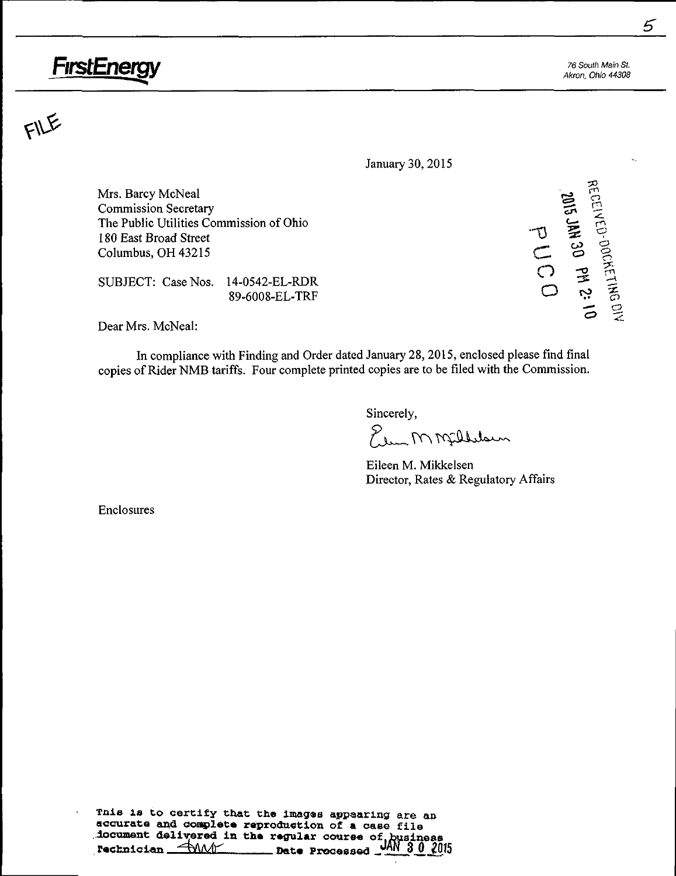# FirstEnergy 76 South Main St.

Akron, Ohio 44308

 $\overline{2}$ 

 $\omega$  g

 $F$ 

January 30, 2015

Mrs. Barcy McNeal ^ ^ Commission Secretary ^ ^ The Public Utilities Commission of Ohio 180 East Broad Street Columbus, OH 43215

SUBJECT: CaseNos. 14-0542-EL-RDR O :S ^—. <sup>A</sup> O fo ^ 89-6008-EL-TRF ^-^ ^ 2=)

Dear Mrs. McNeal:

In compliance with Finding and Order dated January 28,2015, enclosed please find final copies of Rider NMB tariffs. Four complete printed copies are to be filed with the Commission.

Sincerely,

Elem MMfillelsun

Eileen M. Mikkelsen Director, Rates & Regulatory Affairs

Enclosures

Tnis is to certify that the images appearing are an accurate and complete reproduction of a case file .document delivered in the regular course of business.  $P=\frac{P_{\text{max}}}{P_{\text{max}}-P_{\text{max}}-P_{\text{max}}}$  . Date Processed Jan 30 2015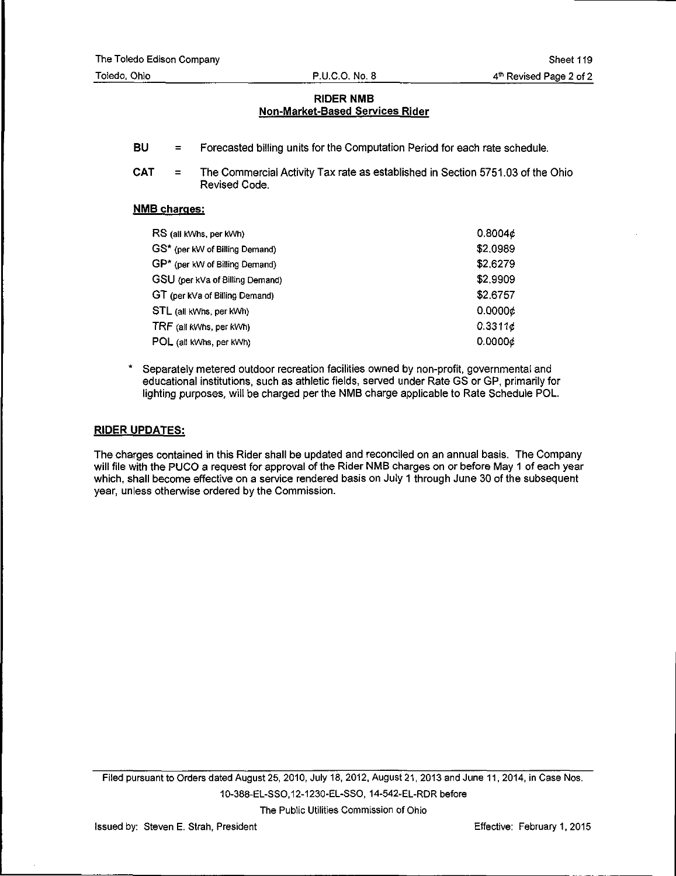- BU = Forecasted billing units for the Computation Period for each rate schedule.
- CAT = The Commercial Activity Tax rate as established in Section 5751.03 of the Ohio Revised Code.

# NMB charges:

| RS (all kWhs, per kWh)          | 0.8004¢  |
|---------------------------------|----------|
| GS* (per kW of Billing Demand)  | \$2.0989 |
| GP* (per kW of Billing Demand)  | \$2,6279 |
| GSU (per kVa of Billing Demand) | \$2,9909 |
| GT (per kVa of Billing Demand)  | \$2,6757 |
| STL (all kWhs, per kWh)         | 0.0000c  |
| TRF (all kWhs, per kWh)         | 0.3311c  |
| POL (all kWhs, per kWh)         | 0.0000¢  |

Separately metered outdoor recreation facilities owned by non-profit, governmental and educational institutions, such as athletic fields, served under Rate GS or GP, primarily for lighting purposes, will be charged per the NMB charge applicable to Rate Schedule POL.

## RIDER UPDATES:

The charges contained in this Rider shall be updated and reconciled on an annual basis. The Company will file with the PUCO a request for approval of the Rider NMB charges on or before May 1 of each year which, shall become effective on a service rendered basis on July 1 through June 30 of the subsequent year, unless otherwise ordered by the Commission.

Filed pursuant to Orders dated August 25, 2010, July 18, 2012, August 21, 2013 and June 11, 2014, in Case Nos. 10-388-EL-SSO,12-123a-EL-SSO, 14-542-EL-RDR before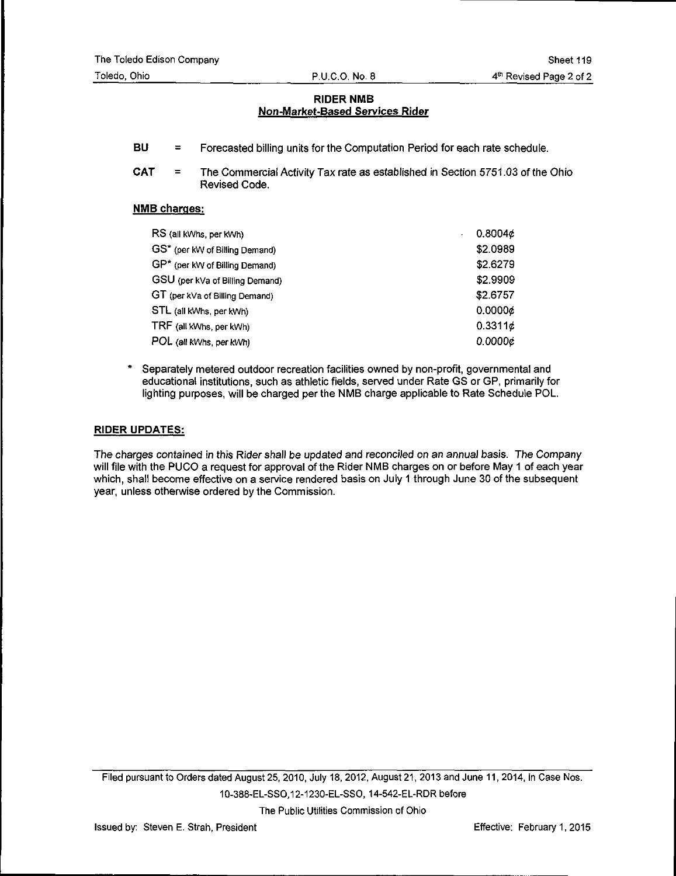- BU = Forecasted billing units for the Computation Period for each rate schedule.
- CAT = The Commercial Activity Tax rate as established in Section 5751.03 of the Ohio Revised Code.

## NMB charges:

| RS (all kWhs, per kWh)          | 0.8004c  |
|---------------------------------|----------|
| GS* (per kW of Billing Demand)  | \$2.0989 |
| GP* (per kW of Billing Demand)  | \$2.6279 |
| GSU (per kVa of Billing Demand) | \$2.9909 |
| GT (per kVa of Billing Demand)  | \$2.6757 |
| STL (all kWhs, per kWh)         | 0.00006  |
| TRF (all kWhs, per kWh)         | 0.3311c  |
| POL (all kWhs, per kWh)         | 0.0000c  |

Separately metered outdoor recreation facilities owned by non-profit, governmental and educational institutions, such as athletic fields, served under Rate GS or GP, primarily for lighting purposes, will be charged per the NMB charge applicable to Rate Schedule POL.

## RIDER UPDATES:

The charges contained in this Rider shall be updated and reconciled on an annual basis. The Company will file with the PUCO a request for approval of the Rider NMB charges on or before May 1 of each year which, shall become effective on a service rendered basis on July 1 through June 30 of the subsequent year, unless othenwise ordered by the Commission.

Filed pursuant to Orders dated August 25, 2010, July 18, 2012, August 21, 2013 and June 11, 2014, in Case Nos. 10-388-EL-SSO,12-1230-EL-SSO, 14-542-EL-RDR before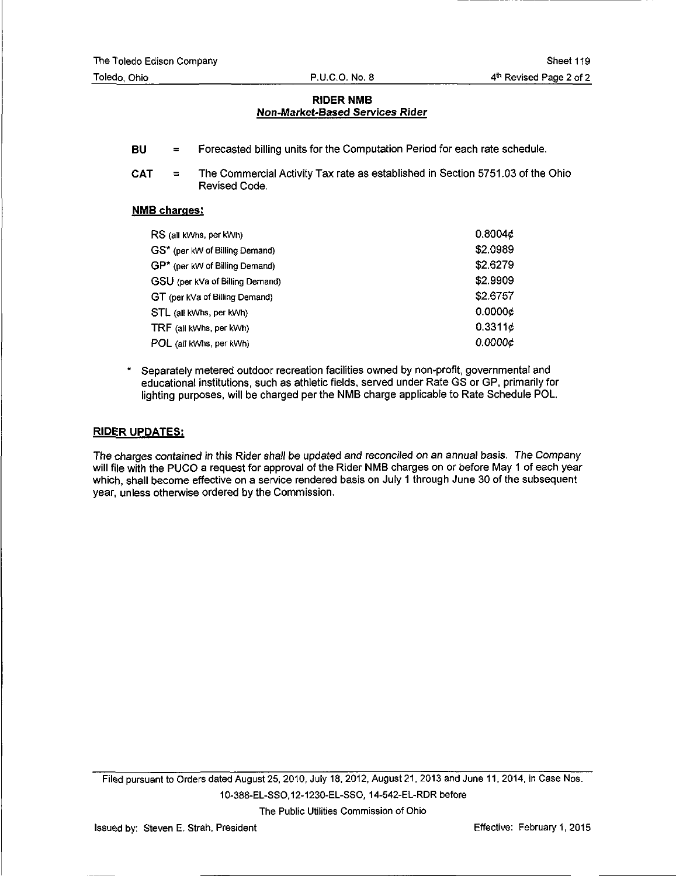- BU = Forecasted billing units for the Computation Period for each rate schedule.
- CAT = The Commercial Activity Tax rate as established in Section 5751.03 of the Ohio Revised Code.

#### NMB charges:

| RS (all kWhs, per kWh)          | 0.8004¢  |
|---------------------------------|----------|
| GS* (per kW of Billing Demand)  | \$2.0989 |
| GP* (per kW of Billing Demand)  | \$2.6279 |
| GSU (per kVa of Billing Demand) | \$2.9909 |
| GT (per kVa of Billing Demand)  | \$2.6757 |
| STL (all kWhs, per kWh)         | 0.0000c  |
| TRF (all kWhs, per kWh)         | 0.3311c  |
| POL (all kWhs. per kWh)         | 0.0000¢  |

Separately metered outdoor recreation facilities owned by non-profit, governmental and educational institutions, such as athletic fields, served under Rate GS or GP, primarily for lighting purposes, will be charged per the NMB charge applicable to Rate Schedule POL.

#### RIDER UPDATES:

The charges contained in this Rider shall be updated and reconciled on an annual basis. The Company will file with the PUCO a request for approval of the Rider NMB charges on or before May 1 of each year which, shall become effective on a service rendered basis on July 1 through June 30 of the subsequent year, unless otherwise ordered by the Commission.

Filed pursuant to Orders dated August 25, 2010, July 18, 2012, August 21, 2013 and June 11, 2014, in Case Nos. 10-388-EL-SSO,12-1230-EL-SSO, 14-542-EL-RDR before